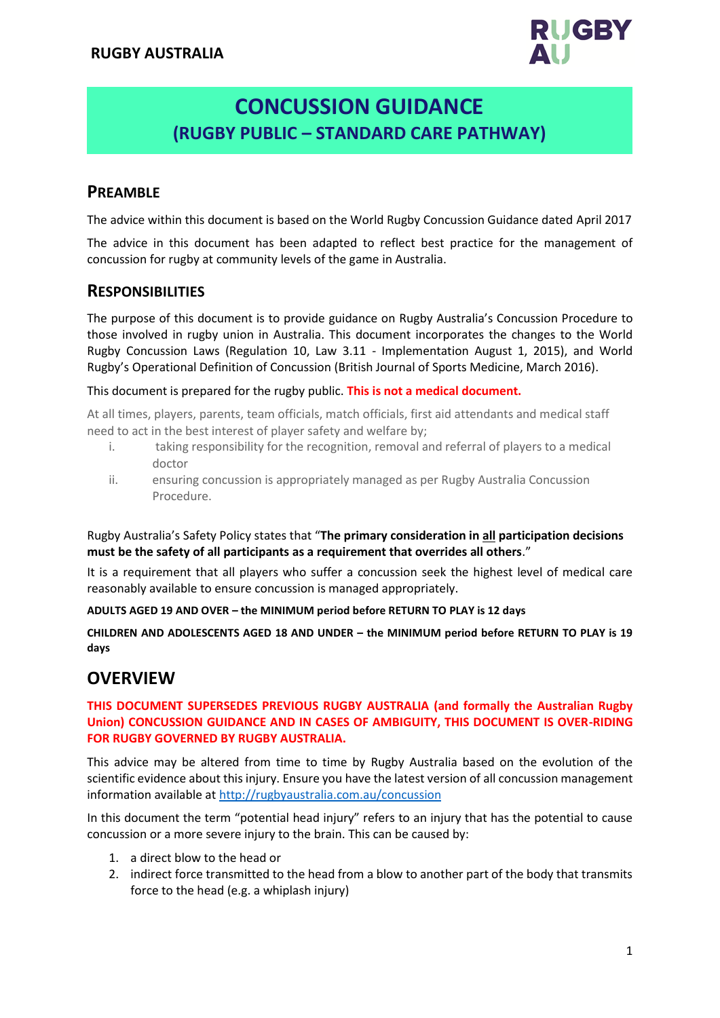

# **CONCUSSION GUIDANCE (RUGBY PUBLIC – STANDARD CARE PATHWAY)**

# **PREAMBLE**

The advice within this document is based on the World Rugby Concussion Guidance dated April 2017

The advice in this document has been adapted to reflect best practice for the management of concussion for rugby at community levels of the game in Australia.

# **RESPONSIBILITIES**

The purpose of this document is to provide guidance on Rugby Australia's Concussion Procedure to those involved in rugby union in Australia. This document incorporates the changes to the World Rugby Concussion Laws (Regulation 10, Law 3.11 - Implementation August 1, 2015), and World Rugby's Operational Definition of Concussion (British Journal of Sports Medicine, March 2016).

### This document is prepared for the rugby public. **This is not a medical document.**

At all times, players, parents, team officials, match officials, first aid attendants and medical staff need to act in the best interest of player safety and welfare by;

- i. taking responsibility for the recognition, removal and referral of players to a medical doctor
- ii. ensuring concussion is appropriately managed as per Rugby Australia Concussion Procedure.

Rugby Australia's Safety Policy states that "**The primary consideration in all participation decisions must be the safety of all participants as a requirement that overrides all others**."

It is a requirement that all players who suffer a concussion seek the highest level of medical care reasonably available to ensure concussion is managed appropriately.

**ADULTS AGED 19 AND OVER – the MINIMUM period before RETURN TO PLAY is 12 days**

**CHILDREN AND ADOLESCENTS AGED 18 AND UNDER – the MINIMUM period before RETURN TO PLAY is 19 days**

# **OVERVIEW**

### **THIS DOCUMENT SUPERSEDES PREVIOUS RUGBY AUSTRALIA (and formally the Australian Rugby Union) CONCUSSION GUIDANCE AND IN CASES OF AMBIGUITY, THIS DOCUMENT IS OVER-RIDING FOR RUGBY GOVERNED BY RUGBY AUSTRALIA.**

This advice may be altered from time to time by Rugby Australia based on the evolution of the scientific evidence about this injury. Ensure you have the latest version of all concussion management information available at<http://rugbyaustralia.com.au/concussion>

In this document the term "potential head injury" refers to an injury that has the potential to cause concussion or a more severe injury to the brain. This can be caused by:

- 1. a direct blow to the head or
- 2. indirect force transmitted to the head from a blow to another part of the body that transmits force to the head (e.g. a whiplash injury)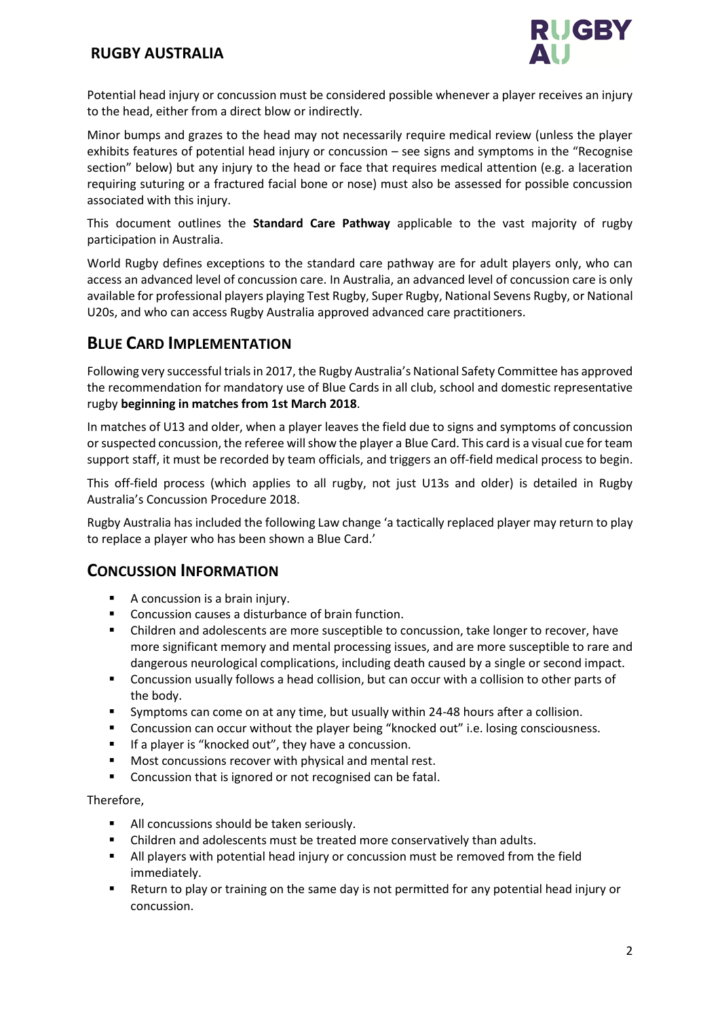

Potential head injury or concussion must be considered possible whenever a player receives an injury to the head, either from a direct blow or indirectly.

Minor bumps and grazes to the head may not necessarily require medical review (unless the player exhibits features of potential head injury or concussion – see signs and symptoms in the "Recognise section" below) but any injury to the head or face that requires medical attention (e.g. a laceration requiring suturing or a fractured facial bone or nose) must also be assessed for possible concussion associated with this injury.

This document outlines the **Standard Care Pathway** applicable to the vast majority of rugby participation in Australia.

World Rugby defines exceptions to the standard care pathway are for adult players only, who can access an advanced level of concussion care. In Australia, an advanced level of concussion care is only available for professional players playing Test Rugby, Super Rugby, National Sevens Rugby, or National U20s, and who can access Rugby Australia approved advanced care practitioners.

# **BLUE CARD IMPLEMENTATION**

Following very successful trials in 2017, the Rugby Australia's National Safety Committee has approved the recommendation for mandatory use of Blue Cards in all club, school and domestic representative rugby **beginning in matches from 1st March 2018**.

In matches of U13 and older, when a player leaves the field due to signs and symptoms of concussion or suspected concussion, the referee will show the player a Blue Card. This card is a visual cue for team support staff, it must be recorded by team officials, and triggers an off-field medical process to begin.

This off-field process (which applies to all rugby, not just U13s and older) is detailed in Rugby Australia's Concussion Procedure 2018.

Rugby Australia has included the following Law change 'a tactically replaced player may return to play to replace a player who has been shown a Blue Card.'

# **CONCUSSION INFORMATION**

- A concussion is a brain injury.
- Concussion causes a disturbance of brain function.
- Children and adolescents are more susceptible to concussion, take longer to recover, have more significant memory and mental processing issues, and are more susceptible to rare and dangerous neurological complications, including death caused by a single or second impact.
- **•** Concussion usually follows a head collision, but can occur with a collision to other parts of the body.
- Symptoms can come on at any time, but usually within 24-48 hours after a collision.
- Concussion can occur without the player being "knocked out" i.e. losing consciousness.
- If a player is "knocked out", they have a concussion.
- Most concussions recover with physical and mental rest.
- Concussion that is ignored or not recognised can be fatal.

Therefore,

- All concussions should be taken seriously.
- Children and adolescents must be treated more conservatively than adults.
- All players with potential head injury or concussion must be removed from the field immediately.
- Return to play or training on the same day is not permitted for any potential head injury or concussion.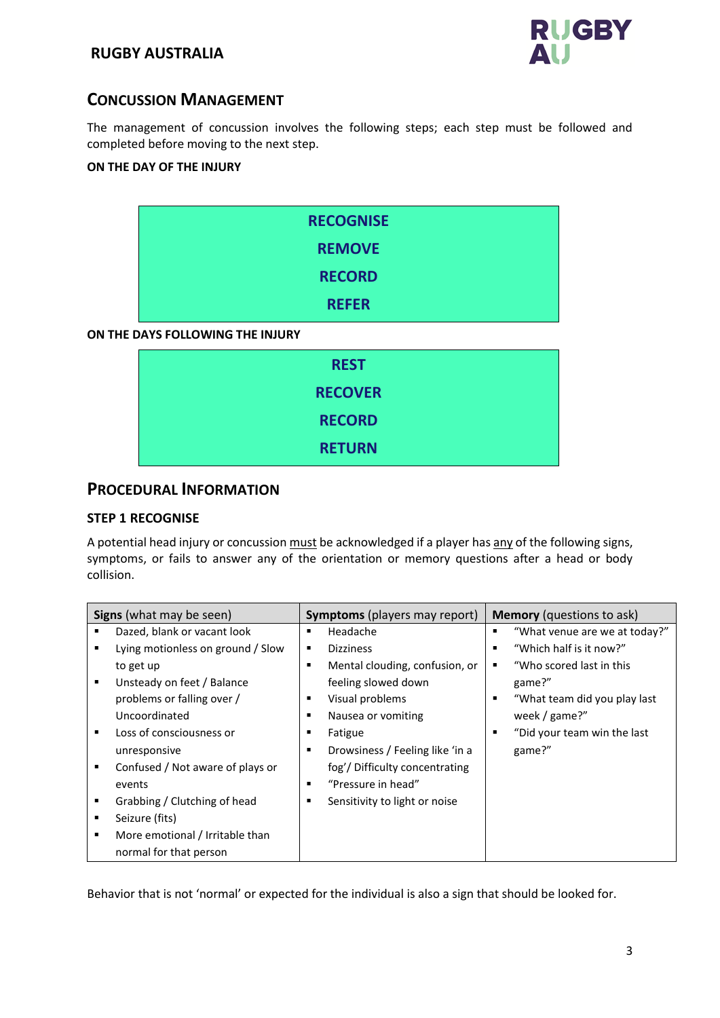

# **CONCUSSION MANAGEMENT**

The management of concussion involves the following steps; each step must be followed and completed before moving to the next step.

### **ON THE DAY OF THE INJURY**

| <b>RECOGNISE</b> |  |
|------------------|--|
| <b>REMOVE</b>    |  |
| <b>RECORD</b>    |  |
| <b>REFER</b>     |  |

### **ON THE DAYS FOLLOWING THE INJURY**

| <b>REST</b>    |
|----------------|
| <b>RECOVER</b> |
| <b>RECORD</b>  |
| <b>RETURN</b>  |

## **PROCEDURAL INFORMATION**

### **STEP 1 RECOGNISE**

A potential head injury or concussion must be acknowledged if a player has any of the following signs, symptoms, or fails to answer any of the orientation or memory questions after a head or body collision.

| Signs (what may be seen) |                                   | <b>Symptoms</b> (players may report) | <b>Memory</b> (questions to ask)   |  |  |
|--------------------------|-----------------------------------|--------------------------------------|------------------------------------|--|--|
|                          | Dazed, blank or vacant look       | Headache<br>٠                        | "What venue are we at today?"<br>г |  |  |
| ٠                        | Lying motionless on ground / Slow | <b>Dizziness</b><br>٠                | "Which half is it now?"<br>п       |  |  |
|                          | to get up                         | Mental clouding, confusion, or<br>٠  | "Who scored last in this<br>п      |  |  |
| ٠                        | Unsteady on feet / Balance        | feeling slowed down                  | game?"                             |  |  |
|                          | problems or falling over /        | Visual problems<br>٠                 | "What team did you play last<br>п  |  |  |
|                          | Uncoordinated                     | Nausea or vomiting<br>٠              | week / $gamma$ ?"                  |  |  |
| ٠                        | Loss of consciousness or          | Fatigue<br>٠                         | "Did your team win the last<br>п   |  |  |
|                          | unresponsive                      | Drowsiness / Feeling like 'in a<br>٠ | game?"                             |  |  |
| ٠                        | Confused / Not aware of plays or  | fog'/Difficulty concentrating        |                                    |  |  |
|                          | events                            | "Pressure in head"<br>٠              |                                    |  |  |
| ٠                        | Grabbing / Clutching of head      | Sensitivity to light or noise<br>٠   |                                    |  |  |
| ٠                        | Seizure (fits)                    |                                      |                                    |  |  |
| ٠                        | More emotional / Irritable than   |                                      |                                    |  |  |
|                          | normal for that person            |                                      |                                    |  |  |

Behavior that is not 'normal' or expected for the individual is also a sign that should be looked for.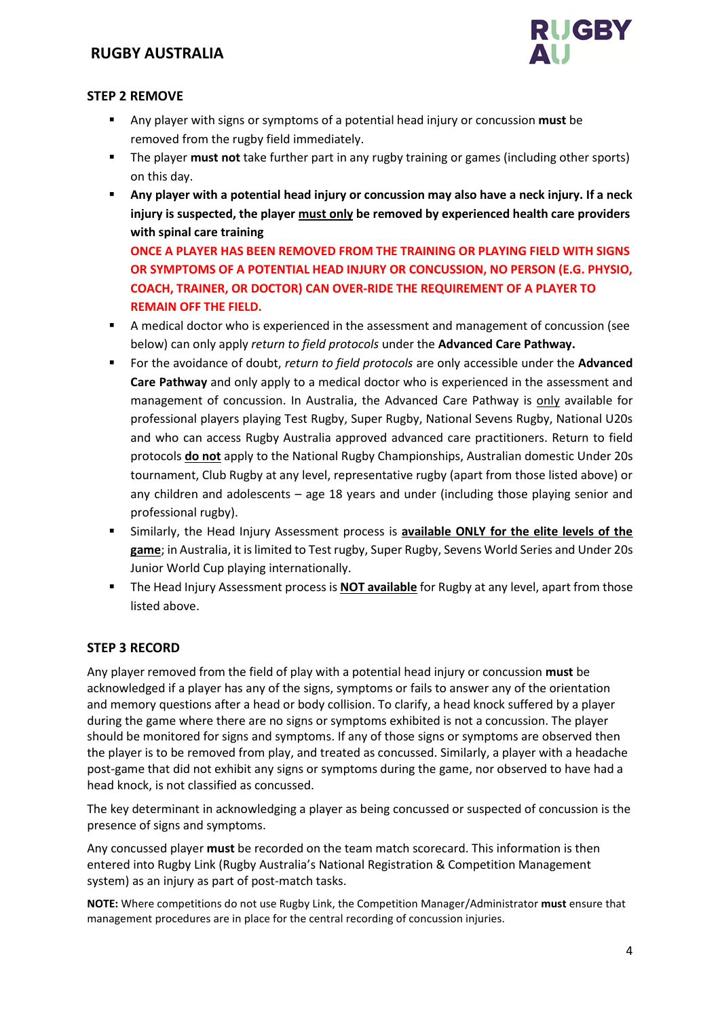

### **STEP 2 REMOVE**

- Any player with signs or symptoms of a potential head injury or concussion **must** be removed from the rugby field immediately.
- The player **must not** take further part in any rugby training or games (including other sports) on this day.
- **Any player with a potential head injury or concussion may also have a neck injury. If a neck injury is suspected, the player must only be removed by experienced health care providers with spinal care training**

**ONCE A PLAYER HAS BEEN REMOVED FROM THE TRAINING OR PLAYING FIELD WITH SIGNS OR SYMPTOMS OF A POTENTIAL HEAD INJURY OR CONCUSSION, NO PERSON (E.G. PHYSIO, COACH, TRAINER, OR DOCTOR) CAN OVER-RIDE THE REQUIREMENT OF A PLAYER TO REMAIN OFF THE FIELD.**

- A medical doctor who is experienced in the assessment and management of concussion (see below) can only apply *return to field protocols* under the **Advanced Care Pathway.**
- For the avoidance of doubt, *return to field protocols* are only accessible under the **Advanced Care Pathway** and only apply to a medical doctor who is experienced in the assessment and management of concussion. In Australia, the Advanced Care Pathway is only available for professional players playing Test Rugby, Super Rugby, National Sevens Rugby, National U20s and who can access Rugby Australia approved advanced care practitioners. Return to field protocols **do not** apply to the National Rugby Championships, Australian domestic Under 20s tournament, Club Rugby at any level, representative rugby (apart from those listed above) or any children and adolescents – age 18 years and under (including those playing senior and professional rugby).
- Similarly, the Head Injury Assessment process is **available ONLY for the elite levels of the game**; in Australia, it is limited to Test rugby, Super Rugby, Sevens World Series and Under 20s Junior World Cup playing internationally.
- The Head Injury Assessment process is **NOT available** for Rugby at any level, apart from those listed above.

## **STEP 3 RECORD**

Any player removed from the field of play with a potential head injury or concussion **must** be acknowledged if a player has any of the signs, symptoms or fails to answer any of the orientation and memory questions after a head or body collision. To clarify, a head knock suffered by a player during the game where there are no signs or symptoms exhibited is not a concussion. The player should be monitored for signs and symptoms. If any of those signs or symptoms are observed then the player is to be removed from play, and treated as concussed. Similarly, a player with a headache post-game that did not exhibit any signs or symptoms during the game, nor observed to have had a head knock, is not classified as concussed.

The key determinant in acknowledging a player as being concussed or suspected of concussion is the presence of signs and symptoms.

Any concussed player **must** be recorded on the team match scorecard. This information is then entered into Rugby Link (Rugby Australia's National Registration & Competition Management system) as an injury as part of post-match tasks.

**NOTE:** Where competitions do not use Rugby Link, the Competition Manager/Administrator **must** ensure that management procedures are in place for the central recording of concussion injuries.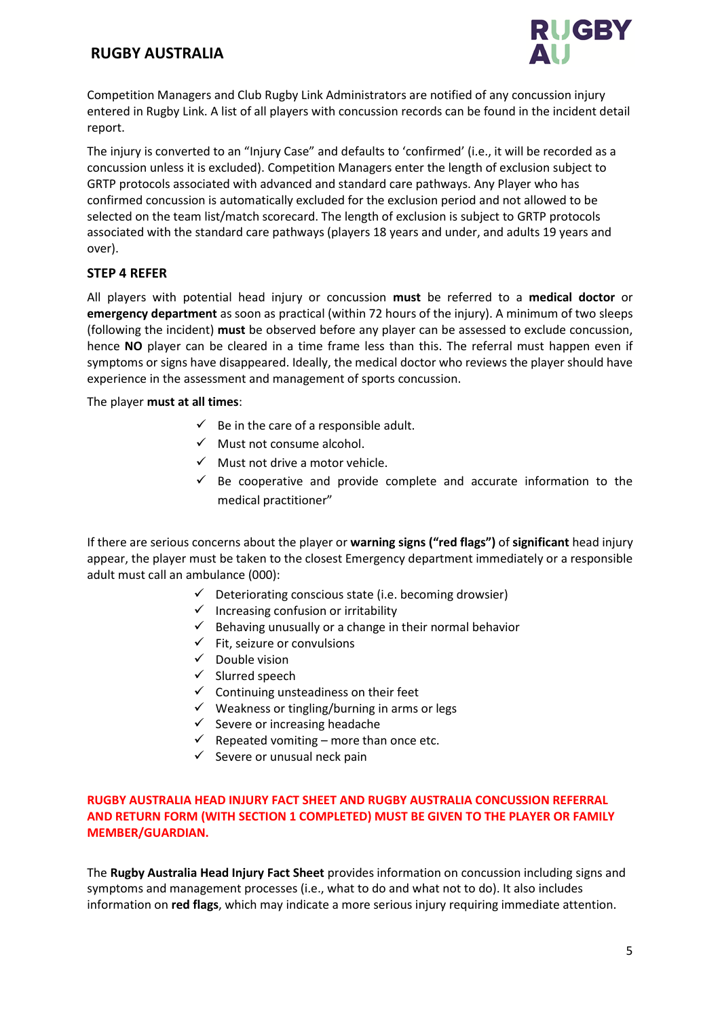

Competition Managers and Club Rugby Link Administrators are notified of any concussion injury entered in Rugby Link. A list of all players with concussion records can be found in the incident detail report.

The injury is converted to an "Injury Case" and defaults to 'confirmed' (i.e., it will be recorded as a concussion unless it is excluded). Competition Managers enter the length of exclusion subject to GRTP protocols associated with advanced and standard care pathways. Any Player who has confirmed concussion is automatically excluded for the exclusion period and not allowed to be selected on the team list/match scorecard. The length of exclusion is subject to GRTP protocols associated with the standard care pathways (players 18 years and under, and adults 19 years and over).

### **STEP 4 REFER**

All players with potential head injury or concussion **must** be referred to a **medical doctor** or **emergency department** as soon as practical (within 72 hours of the injury). A minimum of two sleeps (following the incident) **must** be observed before any player can be assessed to exclude concussion, hence **NO** player can be cleared in a time frame less than this. The referral must happen even if symptoms or signs have disappeared. Ideally, the medical doctor who reviews the player should have experience in the assessment and management of sports concussion.

The player **must at all times**:

- $\checkmark$  Be in the care of a responsible adult.
- ✓ Must not consume alcohol.
- $\checkmark$  Must not drive a motor vehicle.
- $\checkmark$  Be cooperative and provide complete and accurate information to the medical practitioner"

If there are serious concerns about the player or **warning signs ("red flags")** of **significant** head injury appear, the player must be taken to the closest Emergency department immediately or a responsible adult must call an ambulance (000):

- $\checkmark$  Deteriorating conscious state (i.e. becoming drowsier)
- $\checkmark$  Increasing confusion or irritability
- $\checkmark$  Behaving unusually or a change in their normal behavior
- ✓ Fit, seizure or convulsions
- ✓ Double vision
- ✓ Slurred speech
- $\checkmark$  Continuing unsteadiness on their feet
- ✓ Weakness or tingling/burning in arms or legs
- $\checkmark$  Severe or increasing headache
- $\checkmark$  Repeated vomiting more than once etc.
- $\checkmark$  Severe or unusual neck pain

### **RUGBY AUSTRALIA HEAD INJURY FACT SHEET AND RUGBY AUSTRALIA CONCUSSION REFERRAL AND RETURN FORM (WITH SECTION 1 COMPLETED) MUST BE GIVEN TO THE PLAYER OR FAMILY MEMBER/GUARDIAN.**

The **Rugby Australia Head Injury Fact Sheet** provides information on concussion including signs and symptoms and management processes (i.e., what to do and what not to do). It also includes information on **red flags**, which may indicate a more serious injury requiring immediate attention.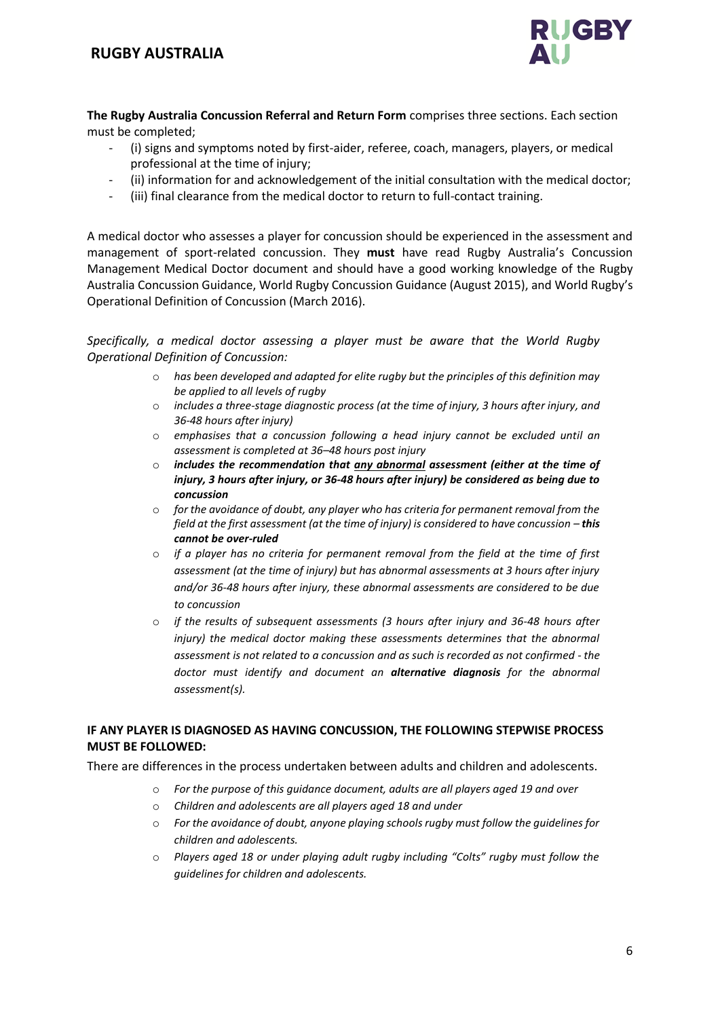

**The Rugby Australia Concussion Referral and Return Form** comprises three sections. Each section must be completed;

- (i) signs and symptoms noted by first-aider, referee, coach, managers, players, or medical professional at the time of injury;
- (ii) information for and acknowledgement of the initial consultation with the medical doctor;
- (iii) final clearance from the medical doctor to return to full-contact training.

A medical doctor who assesses a player for concussion should be experienced in the assessment and management of sport-related concussion. They **must** have read Rugby Australia's Concussion Management Medical Doctor document and should have a good working knowledge of the Rugby Australia Concussion Guidance, World Rugby Concussion Guidance (August 2015), and World Rugby's Operational Definition of Concussion (March 2016).

*Specifically, a medical doctor assessing a player must be aware that the World Rugby Operational Definition of Concussion:*

- o *has been developed and adapted for elite rugby but the principles of this definition may be applied to all levels of rugby*
- o *includes a three-stage diagnostic process (at the time of injury, 3 hours after injury, and 36-48 hours after injury)*
- o *emphasises that a concussion following a head injury cannot be excluded until an assessment is completed at 36–48 hours post injury*
- o *includes the recommendation that any abnormal assessment (either at the time of injury, 3 hours after injury, or 36-48 hours after injury) be considered as being due to concussion*
- o *for the avoidance of doubt, any player who has criteria for permanent removal from the field at the first assessment (at the time of injury) is considered to have concussion - this cannot be over-ruled*
- o *if a player has no criteria for permanent removal from the field at the time of first assessment (at the time of injury) but has abnormal assessments at 3 hours after injury and/or 36-48 hours after injury, these abnormal assessments are considered to be due to concussion*
- o *if the results of subsequent assessments (3 hours after injury and 36-48 hours after injury)* the medical doctor making these assessments determines that the abnormal *assessment is not related to a concussion and as such is recorded as not confirmed - the doctor must identify and document an alternative diagnosis for the abnormal assessment(s).*

### **IF ANY PLAYER IS DIAGNOSED AS HAVING CONCUSSION, THE FOLLOWING STEPWISE PROCESS MUST BE FOLLOWED:**

There are differences in the process undertaken between adults and children and adolescents.

- o *For the purpose of this guidance document, adults are all players aged 19 and over*
- o *Children and adolescents are all players aged 18 and under*
- o *For the avoidance of doubt, anyone playing schools rugby must follow the guidelines for children and adolescents.*
- o *Players aged 18 or under playing adult rugby including "Colts" rugby must follow the guidelines for children and adolescents.*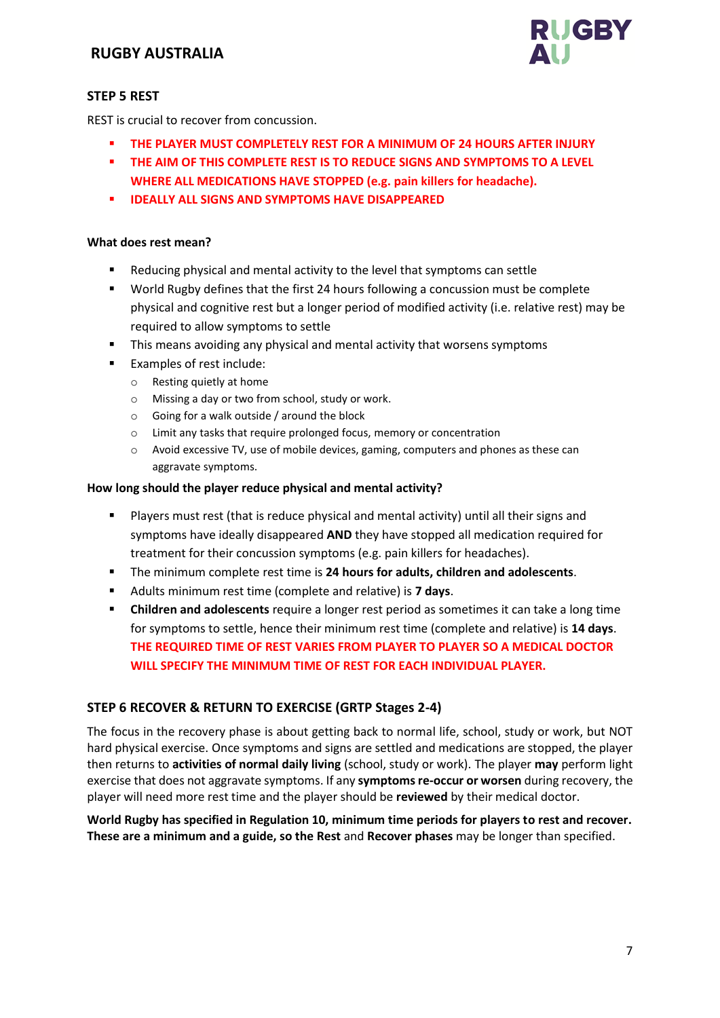

### **STEP 5 REST**

REST is crucial to recover from concussion.

- **THE PLAYER MUST COMPLETELY REST FOR A MINIMUM OF 24 HOURS AFTER INJURY**
- **EXECTE AIM OF THIS COMPLETE REST IS TO REDUCE SIGNS AND SYMPTOMS TO A LEVEL WHERE ALL MEDICATIONS HAVE STOPPED (e.g. pain killers for headache).**
- **IDEALLY ALL SIGNS AND SYMPTOMS HAVE DISAPPEARED**

#### **What does rest mean?**

- Reducing physical and mental activity to the level that symptoms can settle
- World Rugby defines that the first 24 hours following a concussion must be complete physical and cognitive rest but a longer period of modified activity (i.e. relative rest) may be required to allow symptoms to settle
- **E** This means avoiding any physical and mental activity that worsens symptoms
- Examples of rest include:
	- o Resting quietly at home
	- o Missing a day or two from school, study or work.
	- o Going for a walk outside / around the block
	- o Limit any tasks that require prolonged focus, memory or concentration
	- $\circ$  Avoid excessive TV, use of mobile devices, gaming, computers and phones as these can aggravate symptoms.

#### **How long should the player reduce physical and mental activity?**

- Players must rest (that is reduce physical and mental activity) until all their signs and symptoms have ideally disappeared **AND** they have stopped all medication required for treatment for their concussion symptoms (e.g. pain killers for headaches).
- The minimum complete rest time is **24 hours for adults, children and adolescents**.
- Adults minimum rest time (complete and relative) is **7 days**.
- **EXECT 1** Children and adolescents require a longer rest period as sometimes it can take a long time for symptoms to settle, hence their minimum rest time (complete and relative) is **14 days**. **THE REQUIRED TIME OF REST VARIES FROM PLAYER TO PLAYER SO A MEDICAL DOCTOR WILL SPECIFY THE MINIMUM TIME OF REST FOR EACH INDIVIDUAL PLAYER.**

#### **STEP 6 RECOVER & RETURN TO EXERCISE (GRTP Stages 2-4)**

The focus in the recovery phase is about getting back to normal life, school, study or work, but NOT hard physical exercise. Once symptoms and signs are settled and medications are stopped, the player then returns to **activities of normal daily living** (school, study or work). The player **may** perform light exercise that does not aggravate symptoms. If any **symptoms re-occur or worsen** during recovery, the player will need more rest time and the player should be **reviewed** by their medical doctor.

**World Rugby has specified in Regulation 10, minimum time periods for players to rest and recover. These are a minimum and a guide, so the Rest** and **Recover phases** may be longer than specified.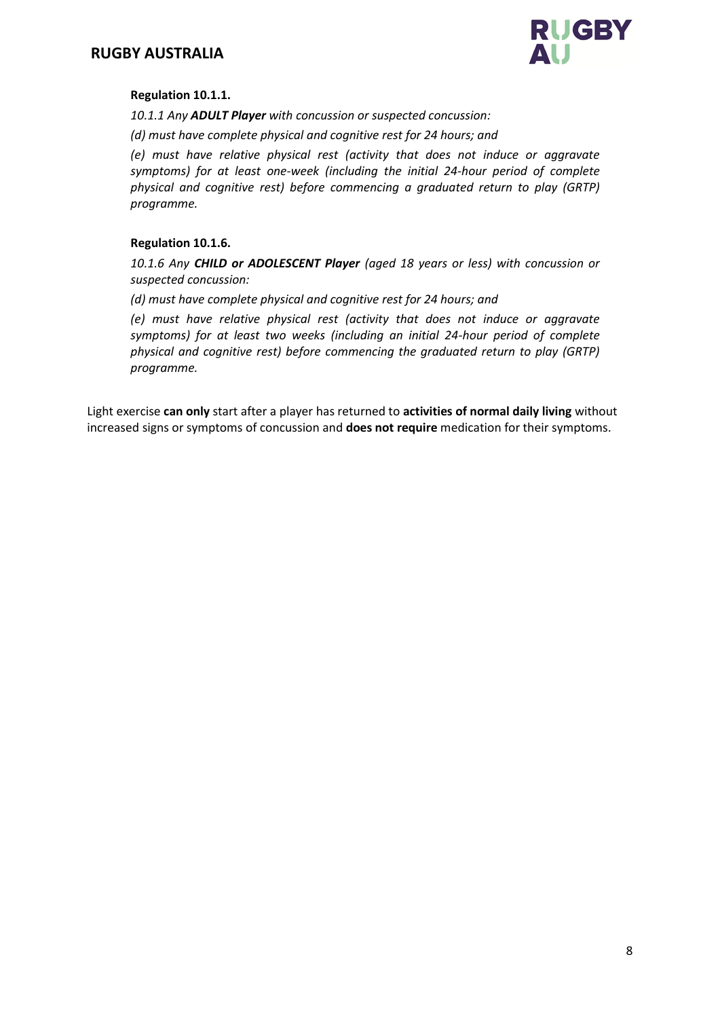

### **Regulation 10.1.1.**

*10.1.1 Any ADULT Player with concussion or suspected concussion:* 

*(d) must have complete physical and cognitive rest for 24 hours; and* 

*(e) must have relative physical rest (activity that does not induce or aggravate symptoms) for at least one-week (including the initial 24-hour period of complete physical and cognitive rest) before commencing a graduated return to play (GRTP) programme.*

### **Regulation 10.1.6.**

*10.1.6 Any CHILD or ADOLESCENT Player (aged 18 years or less) with concussion or suspected concussion:* 

*(d) must have complete physical and cognitive rest for 24 hours; and* 

*(e) must have relative physical rest (activity that does not induce or aggravate symptoms) for at least two weeks (including an initial 24-hour period of complete physical and cognitive rest) before commencing the graduated return to play (GRTP) programme.*

Light exercise **can only** start after a player has returned to **activities of normal daily living** without increased signs or symptoms of concussion and **does not require** medication for their symptoms.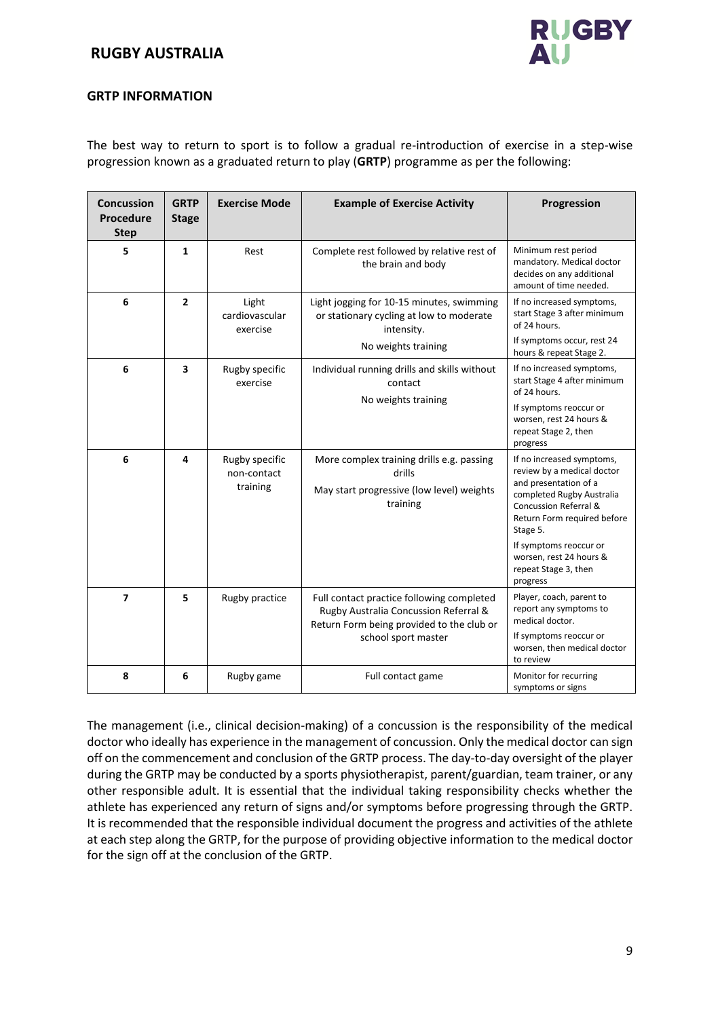

### **GRTP INFORMATION**

The best way to return to sport is to follow a gradual re-introduction of exercise in a step-wise progression known as a graduated return to play (**GRTP**) programme as per the following:

| <b>Concussion</b><br>Procedure<br><b>Step</b> | <b>GRTP</b><br><b>Stage</b> | <b>Exercise Mode</b>                                                                                                                                      | <b>Example of Exercise Activity</b>                                                                                                                    | Progression                                                                                                                                                                                                                                                                                            |  |
|-----------------------------------------------|-----------------------------|-----------------------------------------------------------------------------------------------------------------------------------------------------------|--------------------------------------------------------------------------------------------------------------------------------------------------------|--------------------------------------------------------------------------------------------------------------------------------------------------------------------------------------------------------------------------------------------------------------------------------------------------------|--|
| 5                                             | $\mathbf{1}$                | Rest                                                                                                                                                      | Complete rest followed by relative rest of<br>the brain and body                                                                                       | Minimum rest period<br>mandatory. Medical doctor<br>decides on any additional<br>amount of time needed.                                                                                                                                                                                                |  |
| 6                                             | $\overline{2}$              | Light<br>cardiovascular<br>exercise                                                                                                                       | Light jogging for 10-15 minutes, swimming<br>or stationary cycling at low to moderate<br>intensity.<br>No weights training                             | If no increased symptoms,<br>start Stage 3 after minimum<br>of 24 hours.<br>If symptoms occur, rest 24<br>hours & repeat Stage 2.<br>If no increased symptoms,<br>start Stage 4 after minimum<br>of 24 hours.<br>If symptoms reoccur or<br>worsen, rest 24 hours &<br>repeat Stage 2, then<br>progress |  |
| 6                                             | 3                           | Rugby specific<br>exercise                                                                                                                                | Individual running drills and skills without<br>contact<br>No weights training                                                                         |                                                                                                                                                                                                                                                                                                        |  |
| 6                                             | 4                           | Rugby specific<br>More complex training drills e.g. passing<br>drills<br>non-contact<br>training<br>May start progressive (low level) weights<br>training |                                                                                                                                                        | If no increased symptoms,<br>review by a medical doctor<br>and presentation of a<br>completed Rugby Australia<br>Concussion Referral &<br>Return Form required before<br>Stage 5.<br>If symptoms reoccur or<br>worsen, rest 24 hours &<br>repeat Stage 3, then<br>progress                             |  |
| $\overline{7}$                                | 5                           | Rugby practice                                                                                                                                            | Full contact practice following completed<br>Rugby Australia Concussion Referral &<br>Return Form being provided to the club or<br>school sport master | Player, coach, parent to<br>report any symptoms to<br>medical doctor.<br>If symptoms reoccur or<br>worsen, then medical doctor<br>to review                                                                                                                                                            |  |
| 8                                             | 6                           | Rugby game                                                                                                                                                | Full contact game                                                                                                                                      | Monitor for recurring<br>symptoms or signs                                                                                                                                                                                                                                                             |  |

The management (i.e., clinical decision-making) of a concussion is the responsibility of the medical doctor who ideally has experience in the management of concussion. Only the medical doctor can sign off on the commencement and conclusion of the GRTP process. The day-to-day oversight of the player during the GRTP may be conducted by a sports physiotherapist, parent/guardian, team trainer, or any other responsible adult. It is essential that the individual taking responsibility checks whether the athlete has experienced any return of signs and/or symptoms before progressing through the GRTP. It is recommended that the responsible individual document the progress and activities of the athlete at each step along the GRTP, for the purpose of providing objective information to the medical doctor for the sign off at the conclusion of the GRTP.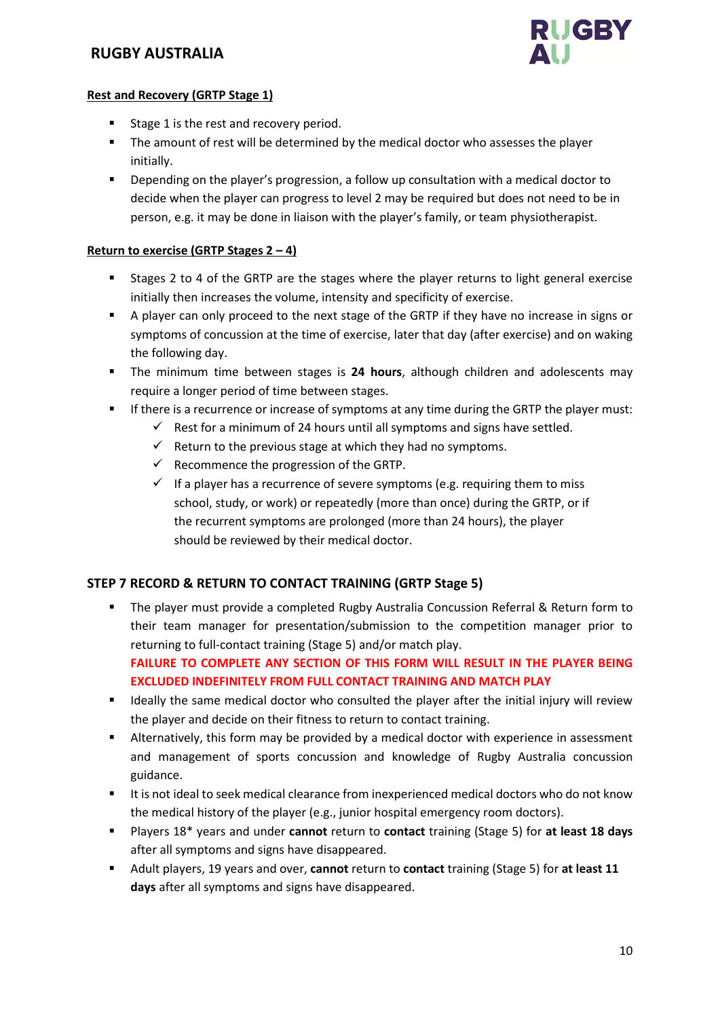

### **Rest and Recovery (GRTP Stage 1)**

- Stage 1 is the rest and recovery period.
- The amount of rest will be determined by the medical doctor who assesses the player initially.
- Depending on the player's progression, a follow up consultation with a medical doctor to decide when the player can progress to level 2 may be required but does not need to be in person, e.g. it may be done in liaison with the player's family, or team physiotherapist.

### **Return to exercise (GRTP Stages 2 – 4)**

- Stages 2 to 4 of the GRTP are the stages where the player returns to light general exercise initially then increases the volume, intensity and specificity of exercise.
- A player can only proceed to the next stage of the GRTP if they have no increase in signs or symptoms of concussion at the time of exercise, later that day (after exercise) and on waking the following day.
- The minimum time between stages is **24 hours**, although children and adolescents may require a longer period of time between stages.
- **■** If there is a recurrence or increase of symptoms at any time during the GRTP the player must:
	- $\checkmark$  Rest for a minimum of 24 hours until all symptoms and signs have settled.
	- $\checkmark$  Return to the previous stage at which they had no symptoms.
	- $\checkmark$  Recommence the progression of the GRTP.
	- $\checkmark$  If a player has a recurrence of severe symptoms (e.g. requiring them to miss school, study, or work) or repeatedly (more than once) during the GRTP, or if the recurrent symptoms are prolonged (more than 24 hours), the player should be reviewed by their medical doctor.

## **STEP 7 RECORD & RETURN TO CONTACT TRAINING (GRTP Stage 5)**

- The player must provide a completed Rugby Australia Concussion Referral & Return form to their team manager for presentation/submission to the competition manager prior to returning to full-contact training (Stage 5) and/or match play. **FAILURE TO COMPLETE ANY SECTION OF THIS FORM WILL RESULT IN THE PLAYER BEING EXCLUDED INDEFINITELY FROM FULL CONTACT TRAINING AND MATCH PLAY**
- Ideally the same medical doctor who consulted the player after the initial injury will review the player and decide on their fitness to return to contact training.
- **E** Alternatively, this form may be provided by a medical doctor with experience in assessment and management of sports concussion and knowledge of Rugby Australia concussion guidance.
- It is not ideal to seek medical clearance from inexperienced medical doctors who do not know the medical history of the player (e.g., junior hospital emergency room doctors).
- Players 18\* years and under **cannot** return to **contact** training (Stage 5) for **at least 18 days** after all symptoms and signs have disappeared.
- Adult players, 19 years and over, **cannot** return to **contact** training (Stage 5) for **at least 11 days** after all symptoms and signs have disappeared.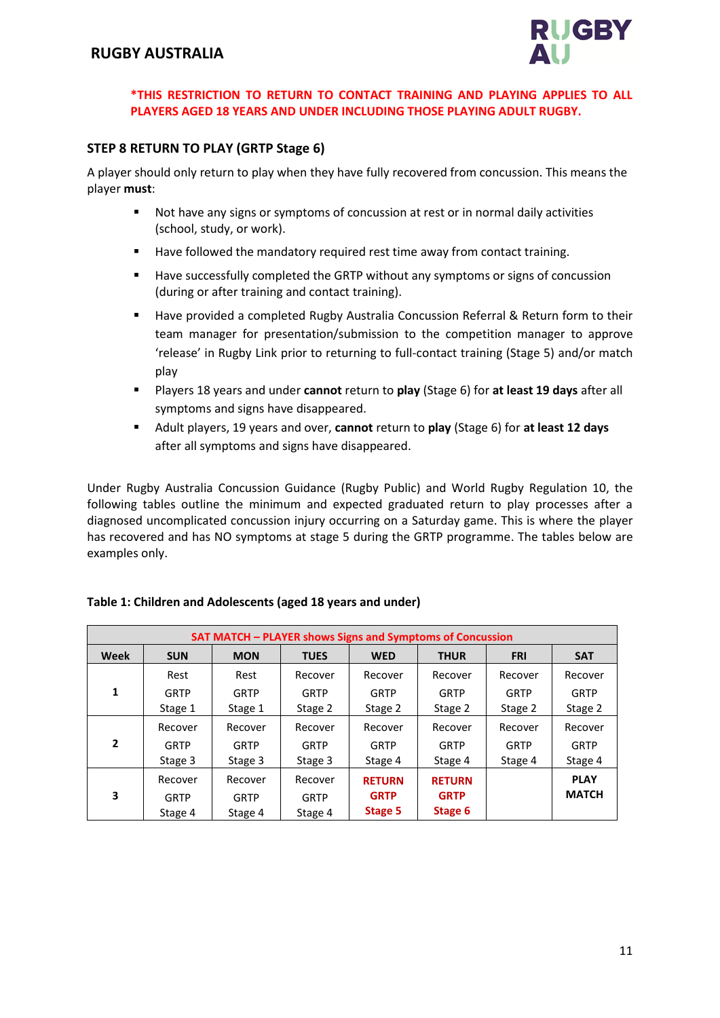

### **\*THIS RESTRICTION TO RETURN TO CONTACT TRAINING AND PLAYING APPLIES TO ALL PLAYERS AGED 18 YEARS AND UNDER INCLUDING THOSE PLAYING ADULT RUGBY.**

### **STEP 8 RETURN TO PLAY (GRTP Stage 6)**

A player should only return to play when they have fully recovered from concussion. This means the player **must**:

- Not have any signs or symptoms of concussion at rest or in normal daily activities (school, study, or work).
- Have followed the mandatory required rest time away from contact training.
- Have successfully completed the GRTP without any symptoms or signs of concussion (during or after training and contact training).
- Have provided a completed Rugby Australia Concussion Referral & Return form to their team manager for presentation/submission to the competition manager to approve 'release' in Rugby Link prior to returning to full-contact training (Stage 5) and/or match play
- Players 18 years and under **cannot** return to **play** (Stage 6) for **at least 19 days** after all symptoms and signs have disappeared.
- Adult players, 19 years and over, **cannot** return to **play** (Stage 6) for **at least 12 days** after all symptoms and signs have disappeared.

Under Rugby Australia Concussion Guidance (Rugby Public) and World Rugby Regulation 10, the following tables outline the minimum and expected graduated return to play processes after a diagnosed uncomplicated concussion injury occurring on a Saturday game. This is where the player has recovered and has NO symptoms at stage 5 during the GRTP programme. The tables below are examples only.

| SAT MATCH - PLAYER shows Signs and Symptoms of Concussion |             |             |             |               |               |             |              |
|-----------------------------------------------------------|-------------|-------------|-------------|---------------|---------------|-------------|--------------|
| <b>Week</b>                                               | <b>SUN</b>  | <b>MON</b>  | <b>TUES</b> | <b>WED</b>    | <b>THUR</b>   | <b>FRI</b>  | <b>SAT</b>   |
|                                                           | Rest        | Rest        | Recover     | Recover       | Recover       | Recover     | Recover      |
| 1                                                         | <b>GRTP</b> | <b>GRTP</b> | <b>GRTP</b> | <b>GRTP</b>   | <b>GRTP</b>   | <b>GRTP</b> | <b>GRTP</b>  |
|                                                           | Stage 1     | Stage 1     | Stage 2     | Stage 2       | Stage 2       | Stage 2     | Stage 2      |
|                                                           | Recover     | Recover     | Recover     | Recover       | Recover       | Recover     | Recover      |
| $\overline{2}$                                            | <b>GRTP</b> | <b>GRTP</b> | <b>GRTP</b> | <b>GRTP</b>   | <b>GRTP</b>   | <b>GRTP</b> | <b>GRTP</b>  |
|                                                           | Stage 3     | Stage 3     | Stage 3     | Stage 4       | Stage 4       | Stage 4     | Stage 4      |
|                                                           | Recover     | Recover     | Recover     | <b>RETURN</b> | <b>RETURN</b> |             | <b>PLAY</b>  |
| 3                                                         | GRTP        | <b>GRTP</b> | <b>GRTP</b> | <b>GRTP</b>   | <b>GRTP</b>   |             | <b>MATCH</b> |
|                                                           | Stage 4     | Stage 4     | Stage 4     | Stage 5       | Stage 6       |             |              |

#### **Table 1: Children and Adolescents (aged 18 years and under)**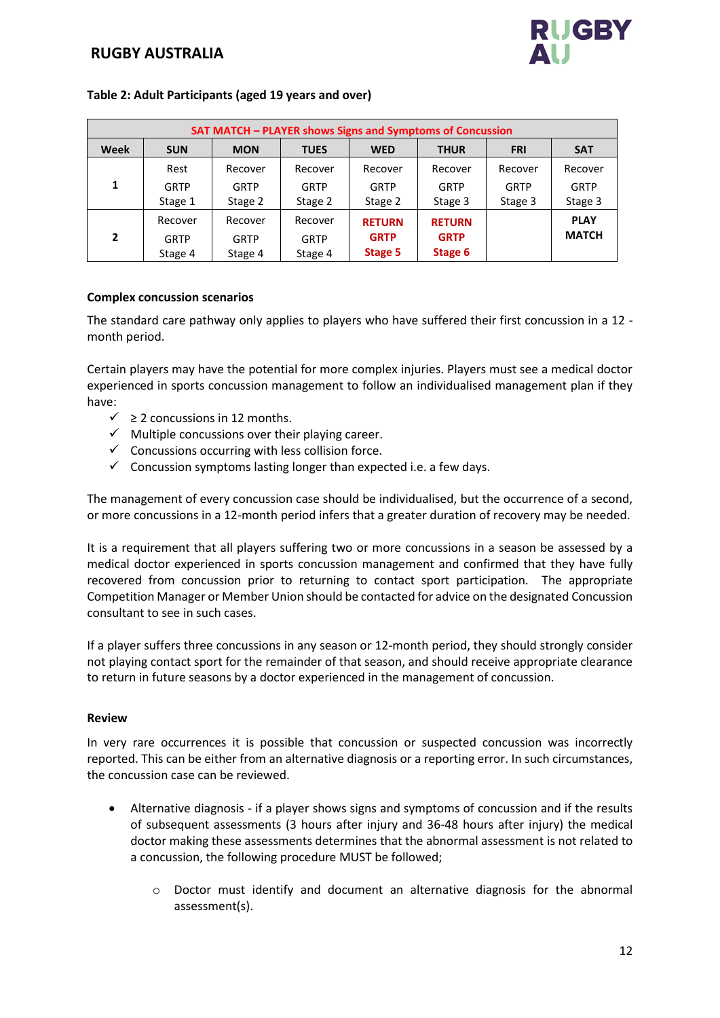

#### **Table 2: Adult Participants (aged 19 years and over)**

| SAT MATCH - PLAYER shows Signs and Symptoms of Concussion |             |             |             |               |               |             |              |
|-----------------------------------------------------------|-------------|-------------|-------------|---------------|---------------|-------------|--------------|
| Week                                                      | <b>SUN</b>  | <b>MON</b>  | <b>TUES</b> | <b>WED</b>    | <b>THUR</b>   | <b>FRI</b>  | <b>SAT</b>   |
|                                                           | Rest        | Recover     | Recover     | Recover       | Recover       | Recover     | Recover      |
| 1                                                         | <b>GRTP</b> | <b>GRTP</b> | <b>GRTP</b> | <b>GRTP</b>   | <b>GRTP</b>   | <b>GRTP</b> | <b>GRTP</b>  |
|                                                           | Stage 1     | Stage 2     | Stage 2     | Stage 2       | Stage 3       | Stage 3     | Stage 3      |
|                                                           | Recover     | Recover     | Recover     | <b>RETURN</b> | <b>RETURN</b> |             | <b>PLAY</b>  |
| $\overline{2}$                                            | GRTP        | <b>GRTP</b> | <b>GRTP</b> | <b>GRTP</b>   | <b>GRTP</b>   |             | <b>MATCH</b> |
|                                                           | Stage 4     | Stage 4     | Stage 4     | Stage 5       | Stage 6       |             |              |

#### **Complex concussion scenarios**

The standard care pathway only applies to players who have suffered their first concussion in a 12 month period.

Certain players may have the potential for more complex injuries. Players must see a medical doctor experienced in sports concussion management to follow an individualised management plan if they have:

- $\checkmark$   $\geq$  2 concussions in 12 months.
- $\checkmark$  Multiple concussions over their playing career.
- $\checkmark$  Concussions occurring with less collision force.
- $\checkmark$  Concussion symptoms lasting longer than expected i.e. a few days.

The management of every concussion case should be individualised, but the occurrence of a second, or more concussions in a 12-month period infers that a greater duration of recovery may be needed.

It is a requirement that all players suffering two or more concussions in a season be assessed by a medical doctor experienced in sports concussion management and confirmed that they have fully recovered from concussion prior to returning to contact sport participation. The appropriate Competition Manager or Member Union should be contacted for advice on the designated Concussion consultant to see in such cases.

If a player suffers three concussions in any season or 12-month period, they should strongly consider not playing contact sport for the remainder of that season, and should receive appropriate clearance to return in future seasons by a doctor experienced in the management of concussion.

#### **Review**

In very rare occurrences it is possible that concussion or suspected concussion was incorrectly reported. This can be either from an alternative diagnosis or a reporting error. In such circumstances, the concussion case can be reviewed.

- Alternative diagnosis if a player shows signs and symptoms of concussion and if the results of subsequent assessments (3 hours after injury and 36-48 hours after injury) the medical doctor making these assessments determines that the abnormal assessment is not related to a concussion, the following procedure MUST be followed;
	- o Doctor must identify and document an alternative diagnosis for the abnormal assessment(s).